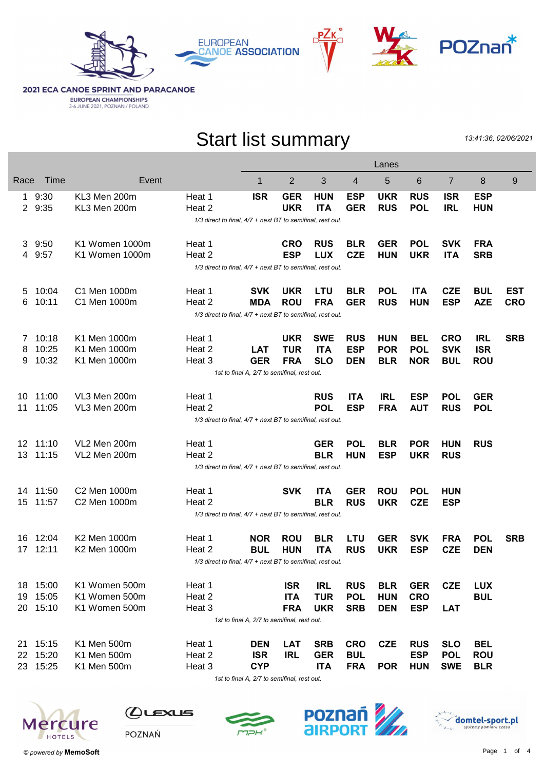







**2021 ECA CANOE SPRINT AND PARACANOE EUROPEAN CHAMPIONSHIPS**<br>3-6 JUNE 2021, POZNAN / POLAND

## Start list summary

13:41:36, 02/06/2021

|              |                                                            |                |                                                            |            |            |            |            | Lanes      |            |                |            |            |
|--------------|------------------------------------------------------------|----------------|------------------------------------------------------------|------------|------------|------------|------------|------------|------------|----------------|------------|------------|
| Race         | Time                                                       | Event          |                                                            | 1          | 2          | 3          | 4          | 5          | 6          | $\overline{7}$ | 8          | 9          |
|              | 9:30                                                       | KL3 Men 200m   | Heat 1                                                     | <b>ISR</b> | <b>GER</b> | <b>HUN</b> | <b>ESP</b> | <b>UKR</b> | <b>RUS</b> | <b>ISR</b>     | <b>ESP</b> |            |
| $\mathbf{2}$ | 9:35                                                       | KL3 Men 200m   | Heat 2                                                     |            | <b>UKR</b> | <b>ITA</b> | <b>GER</b> | <b>RUS</b> | <b>POL</b> | <b>IRL</b>     | <b>HUN</b> |            |
|              | 1/3 direct to final, 4/7 + next BT to semifinal, rest out. |                |                                                            |            |            |            |            |            |            |                |            |            |
| 3            | 9:50                                                       | K1 Women 1000m | Heat 1                                                     |            | <b>CRO</b> | <b>RUS</b> | <b>BLR</b> | <b>GER</b> | <b>POL</b> | <b>SVK</b>     | <b>FRA</b> |            |
| 4            | 9:57                                                       | K1 Women 1000m | Heat 2                                                     |            | <b>ESP</b> | <b>LUX</b> | <b>CZE</b> | <b>HUN</b> | <b>UKR</b> | <b>ITA</b>     | <b>SRB</b> |            |
|              | 1/3 direct to final, 4/7 + next BT to semifinal, rest out. |                |                                                            |            |            |            |            |            |            |                |            |            |
| 5            | 10:04                                                      | C1 Men 1000m   | Heat 1                                                     | <b>SVK</b> | <b>UKR</b> | <b>LTU</b> | <b>BLR</b> | <b>POL</b> | <b>ITA</b> | <b>CZE</b>     | <b>BUL</b> | EST        |
| 6            | 10:11                                                      | C1 Men 1000m   | Heat 2                                                     | <b>MDA</b> | <b>ROU</b> | <b>FRA</b> | <b>GER</b> | <b>RUS</b> | <b>HUN</b> | <b>ESP</b>     | <b>AZE</b> | <b>CRO</b> |
|              | 1/3 direct to final, 4/7 + next BT to semifinal, rest out. |                |                                                            |            |            |            |            |            |            |                |            |            |
| 7            | 10:18                                                      | K1 Men 1000m   | Heat 1                                                     |            | <b>UKR</b> | <b>SWE</b> | <b>RUS</b> | <b>HUN</b> | <b>BEL</b> | <b>CRO</b>     | <b>IRL</b> | <b>SRB</b> |
| 8            | 10:25                                                      | K1 Men 1000m   | Heat 2                                                     | <b>LAT</b> | <b>TUR</b> | <b>ITA</b> | <b>ESP</b> | <b>POR</b> | <b>POL</b> | <b>SVK</b>     | <b>ISR</b> |            |
| 9            | 10:32                                                      | K1 Men 1000m   | Heat 3                                                     | <b>GER</b> | <b>FRA</b> | <b>SLO</b> | <b>DEN</b> | <b>BLR</b> | <b>NOR</b> | <b>BUL</b>     | <b>ROU</b> |            |
|              | 1st to final A, 2/7 to semifinal, rest out.                |                |                                                            |            |            |            |            |            |            |                |            |            |
| 10           | 11:00                                                      | VL3 Men 200m   | Heat 1                                                     |            |            | <b>RUS</b> | <b>ITA</b> | <b>IRL</b> | <b>ESP</b> | <b>POL</b>     | <b>GER</b> |            |
| 11           | 11:05                                                      | VL3 Men 200m   | Heat 2                                                     |            |            | <b>POL</b> | <b>ESP</b> | <b>FRA</b> | <b>AUT</b> | <b>RUS</b>     | <b>POL</b> |            |
|              |                                                            |                | 1/3 direct to final, 4/7 + next BT to semifinal, rest out. |            |            |            |            |            |            |                |            |            |
|              | 12 11:10                                                   | VL2 Men 200m   | Heat 1                                                     |            |            | <b>GER</b> | <b>POL</b> | <b>BLR</b> | <b>POR</b> | <b>HUN</b>     | <b>RUS</b> |            |
| 13           | 11:15                                                      | VL2 Men 200m   | Heat 2                                                     |            |            | <b>BLR</b> | <b>HUN</b> | <b>ESP</b> | <b>UKR</b> | <b>RUS</b>     |            |            |
|              |                                                            |                | 1/3 direct to final, 4/7 + next BT to semifinal, rest out. |            |            |            |            |            |            |                |            |            |
| 14.          | 11:50                                                      | C2 Men 1000m   | Heat 1                                                     |            | <b>SVK</b> | <b>ITA</b> | <b>GER</b> | <b>ROU</b> | <b>POL</b> | <b>HUN</b>     |            |            |
| 15           | 11:57                                                      | C2 Men 1000m   | Heat 2                                                     |            |            | <b>BLR</b> | <b>RUS</b> | <b>UKR</b> | <b>CZE</b> | <b>ESP</b>     |            |            |
|              |                                                            |                | 1/3 direct to final, 4/7 + next BT to semifinal, rest out. |            |            |            |            |            |            |                |            |            |
|              | 16 12:04                                                   | K2 Men 1000m   | Heat 1                                                     | <b>NOR</b> | <b>ROU</b> | <b>BLR</b> | LTU        | <b>GER</b> | <b>SVK</b> | <b>FRA</b>     | <b>POL</b> | <b>SRB</b> |
| 17           | 12:11                                                      | K2 Men 1000m   | Heat 2                                                     | <b>BUL</b> | <b>HUN</b> | <b>ITA</b> | <b>RUS</b> | <b>UKR</b> | <b>ESP</b> | <b>CZE</b>     | <b>DEN</b> |            |
|              |                                                            |                | 1/3 direct to final, 4/7 + next BT to semifinal, rest out. |            |            |            |            |            |            |                |            |            |
|              | 18 15:00                                                   | K1 Women 500m  | Heat 1                                                     |            | <b>ISR</b> | <b>IRL</b> | <b>RUS</b> | <b>BLR</b> | <b>GER</b> | <b>CZE</b>     | <b>LUX</b> |            |
| 19           | 15:05                                                      | K1 Women 500m  | Heat 2                                                     |            | <b>ITA</b> | <b>TUR</b> | <b>POL</b> | <b>HUN</b> | <b>CRO</b> |                | <b>BUL</b> |            |
|              | 20 15:10                                                   | K1 Women 500m  | Heat 3                                                     |            | <b>FRA</b> | <b>UKR</b> | <b>SRB</b> | <b>DEN</b> | <b>ESP</b> | <b>LAT</b>     |            |            |
|              | 1st to final A, 2/7 to semifinal, rest out.                |                |                                                            |            |            |            |            |            |            |                |            |            |
|              | 21 15:15                                                   | K1 Men 500m    | Heat 1                                                     | <b>DEN</b> | <b>LAT</b> | <b>SRB</b> | <b>CRO</b> | <b>CZE</b> | <b>RUS</b> | <b>SLO</b>     | <b>BEL</b> |            |
|              | 22 15:20                                                   | K1 Men 500m    | Heat 2                                                     | <b>ISR</b> | <b>IRL</b> | <b>GER</b> | <b>BUL</b> |            | <b>ESP</b> | <b>POL</b>     | <b>ROU</b> |            |
|              | 23 15:25                                                   | K1 Men 500m    | Heat 3                                                     | <b>CYP</b> |            | <b>ITA</b> | <b>FRA</b> | <b>POR</b> | <b>HUN</b> | <b>SWE</b>     | <b>BLR</b> |            |
|              |                                                            |                |                                                            |            |            |            |            |            |            |                |            |            |

1st to final A, 2/7 to semifinal, rest out.



 $Q$ Lexus





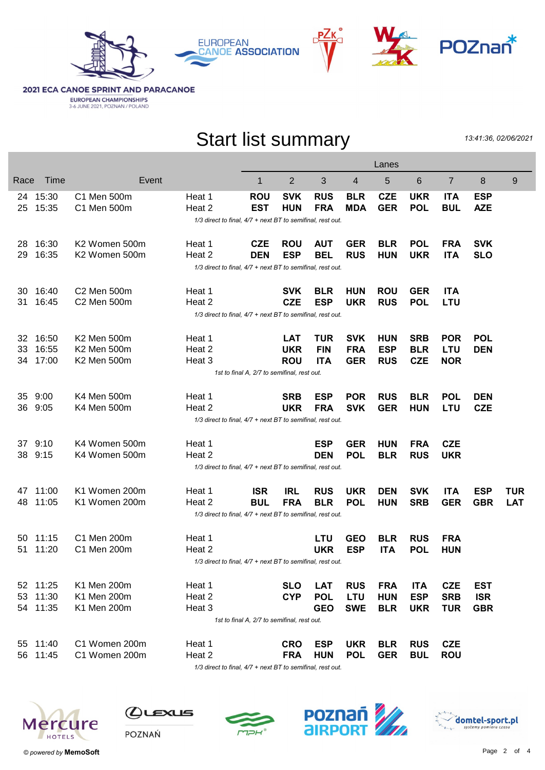





**2021 ECA CANOE SPRINT AND PARACANOE EUROPEAN CHAMPIONSHIPS**<br>3-6 JUNE 2021, POZNAN / POLAND

## Start list summary

13:41:36, 02/06/2021

|                                                            |                                                            |               |                                                            |                                             |            |            |            | Lanes      |            |            |            |            |
|------------------------------------------------------------|------------------------------------------------------------|---------------|------------------------------------------------------------|---------------------------------------------|------------|------------|------------|------------|------------|------------|------------|------------|
| Race                                                       | Time                                                       | Event         |                                                            | 1                                           | 2          | 3          | 4          | 5          | 6          | 7          | 8          | 9          |
| 24                                                         | 15:30                                                      | C1 Men 500m   | Heat 1                                                     | <b>ROU</b>                                  | <b>SVK</b> | <b>RUS</b> | <b>BLR</b> | <b>CZE</b> | <b>UKR</b> | <b>ITA</b> | <b>ESP</b> |            |
| 25                                                         | 15:35                                                      | C1 Men 500m   | Heat 2                                                     | <b>EST</b>                                  | <b>HUN</b> | <b>FRA</b> | <b>MDA</b> | <b>GER</b> | <b>POL</b> | <b>BUL</b> | <b>AZE</b> |            |
|                                                            |                                                            |               | 1/3 direct to final, 4/7 + next BT to semifinal, rest out. |                                             |            |            |            |            |            |            |            |            |
| 28                                                         | 16:30                                                      | K2 Women 500m | Heat 1                                                     | <b>CZE</b>                                  | <b>ROU</b> | <b>AUT</b> | <b>GER</b> | <b>BLR</b> | <b>POL</b> | <b>FRA</b> | <b>SVK</b> |            |
| 29                                                         | 16:35                                                      | K2 Women 500m | Heat 2                                                     | <b>DEN</b>                                  | <b>ESP</b> | <b>BEL</b> | <b>RUS</b> | <b>HUN</b> | <b>UKR</b> | <b>ITA</b> | <b>SLO</b> |            |
|                                                            |                                                            |               | 1/3 direct to final, 4/7 + next BT to semifinal, rest out. |                                             |            |            |            |            |            |            |            |            |
|                                                            |                                                            |               |                                                            |                                             |            |            |            |            |            |            |            |            |
| 30                                                         | 16:40                                                      | C2 Men 500m   | Heat 1                                                     |                                             | <b>SVK</b> | <b>BLR</b> | <b>HUN</b> | <b>ROU</b> | <b>GER</b> | <b>ITA</b> |            |            |
| 31.                                                        | 16:45                                                      | C2 Men 500m   | Heat 2                                                     |                                             | <b>CZE</b> | <b>ESP</b> | <b>UKR</b> | <b>RUS</b> | <b>POL</b> | <b>LTU</b> |            |            |
|                                                            | 1/3 direct to final, 4/7 + next BT to semifinal, rest out. |               |                                                            |                                             |            |            |            |            |            |            |            |            |
| 32                                                         | 16:50                                                      | K2 Men 500m   | Heat 1                                                     |                                             | <b>LAT</b> | <b>TUR</b> | <b>SVK</b> | <b>HUN</b> | <b>SRB</b> | <b>POR</b> | <b>POL</b> |            |
| 33                                                         | 16:55                                                      | K2 Men 500m   | Heat 2                                                     |                                             | <b>UKR</b> | <b>FIN</b> | <b>FRA</b> | <b>ESP</b> | <b>BLR</b> | <b>LTU</b> | <b>DEN</b> |            |
| 34                                                         | 17:00                                                      | K2 Men 500m   | Heat 3                                                     |                                             | <b>ROU</b> | <b>ITA</b> | <b>GER</b> | <b>RUS</b> | <b>CZE</b> | <b>NOR</b> |            |            |
|                                                            | 1st to final A, 2/7 to semifinal, rest out.                |               |                                                            |                                             |            |            |            |            |            |            |            |            |
| 35                                                         | 9:00                                                       | K4 Men 500m   | Heat 1                                                     |                                             | <b>SRB</b> | <b>ESP</b> | <b>POR</b> | <b>RUS</b> | <b>BLR</b> | <b>POL</b> | <b>DEN</b> |            |
| 36                                                         | 9:05                                                       | K4 Men 500m   | Heat 2                                                     |                                             | <b>UKR</b> | <b>FRA</b> | <b>SVK</b> | <b>GER</b> | <b>HUN</b> | <b>LTU</b> | <b>CZE</b> |            |
| 1/3 direct to final, 4/7 + next BT to semifinal, rest out. |                                                            |               |                                                            |                                             |            |            |            |            |            |            |            |            |
|                                                            |                                                            |               |                                                            |                                             |            |            |            |            |            |            |            |            |
|                                                            | 37 9:10                                                    | K4 Women 500m | Heat 1                                                     |                                             |            | <b>ESP</b> | <b>GER</b> | <b>HUN</b> | <b>FRA</b> | <b>CZE</b> |            |            |
| 38                                                         | 9:15                                                       | K4 Women 500m | Heat 2                                                     |                                             |            | <b>DEN</b> | <b>POL</b> | <b>BLR</b> | <b>RUS</b> | <b>UKR</b> |            |            |
|                                                            |                                                            |               | 1/3 direct to final, 4/7 + next BT to semifinal, rest out. |                                             |            |            |            |            |            |            |            |            |
| 47                                                         | 11:00                                                      | K1 Women 200m | Heat 1                                                     | <b>ISR</b>                                  | IRL        | <b>RUS</b> | <b>UKR</b> | <b>DEN</b> | <b>SVK</b> | <b>ITA</b> | <b>ESP</b> | <b>TUR</b> |
| 48                                                         | 11:05                                                      | K1 Women 200m | Heat 2                                                     | <b>BUL</b>                                  | <b>FRA</b> | <b>BLR</b> | <b>POL</b> | <b>HUN</b> | <b>SRB</b> | <b>GER</b> | <b>GBR</b> | <b>LAT</b> |
|                                                            |                                                            |               | 1/3 direct to final, 4/7 + next BT to semifinal, rest out. |                                             |            |            |            |            |            |            |            |            |
| 50                                                         | 11:15                                                      | C1 Men 200m   | Heat 1                                                     |                                             |            | <b>LTU</b> | <b>GEO</b> | <b>BLR</b> | <b>RUS</b> | <b>FRA</b> |            |            |
| 51                                                         | 11:20                                                      | C1 Men 200m   | Heat 2                                                     |                                             |            | <b>UKR</b> | <b>ESP</b> | <b>ITA</b> | <b>POL</b> | <b>HUN</b> |            |            |
|                                                            |                                                            |               | 1/3 direct to final, 4/7 + next BT to semifinal, rest out. |                                             |            |            |            |            |            |            |            |            |
|                                                            |                                                            |               |                                                            |                                             |            |            |            |            |            |            |            |            |
|                                                            | 52 11:25                                                   | K1 Men 200m   | Heat 1                                                     |                                             | <b>SLO</b> | <b>LAT</b> | <b>RUS</b> | <b>FRA</b> | <b>ITA</b> | <b>CZE</b> | <b>EST</b> |            |
| 53                                                         | 11:30                                                      | K1 Men 200m   | Heat 2                                                     |                                             | <b>CYP</b> | <b>POL</b> | <b>LTU</b> | <b>HUN</b> | <b>ESP</b> | <b>SRB</b> | <b>ISR</b> |            |
|                                                            | 54 11:35                                                   | K1 Men 200m   | Heat 3                                                     |                                             |            | <b>GEO</b> | <b>SWE</b> | <b>BLR</b> | <b>UKR</b> | <b>TUR</b> | <b>GBR</b> |            |
|                                                            |                                                            |               |                                                            | 1st to final A, 2/7 to semifinal, rest out. |            |            |            |            |            |            |            |            |
|                                                            | 55 11:40                                                   | C1 Women 200m | Heat 1                                                     |                                             | <b>CRO</b> | <b>ESP</b> | <b>UKR</b> | <b>BLR</b> | <b>RUS</b> | <b>CZE</b> |            |            |
|                                                            | 56 11:45                                                   | C1 Women 200m | Heat 2                                                     |                                             | <b>FRA</b> | <b>HUN</b> | <b>POL</b> | <b>GER</b> | <b>BUL</b> | <b>ROU</b> |            |            |
|                                                            |                                                            |               | 1/3 direct to final, 4/7 + next BT to semifinal, rest out. |                                             |            |            |            |            |            |            |            |            |



 $Q$ ட $\epsilon$ хиs





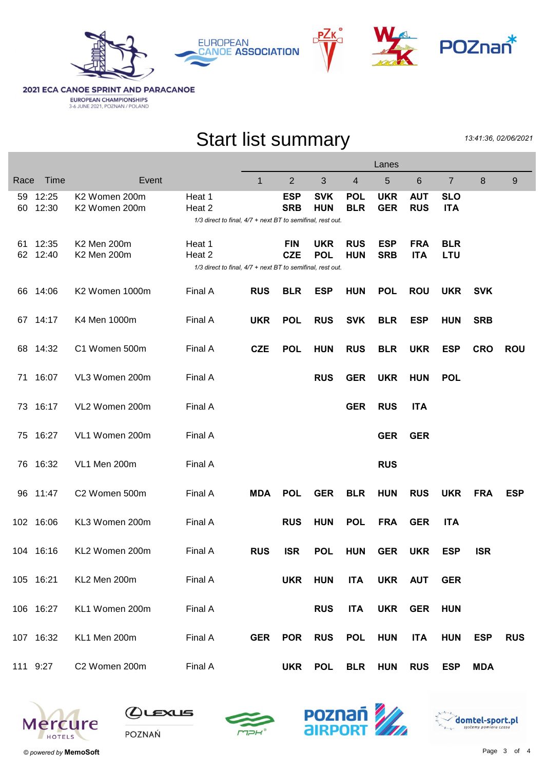



**2021 ECA CANOE SPRINT AND PARACANOE EUROPEAN CHAMPIONSHIPS**<br>3-6 JUNE 2021, POZNAN / POLAND

## Start list summary

13:41:36, 02/06/2021

|          |                |                                |                                                                                | Lanes        |                          |                          |                          |                          |                          |                          |            |            |
|----------|----------------|--------------------------------|--------------------------------------------------------------------------------|--------------|--------------------------|--------------------------|--------------------------|--------------------------|--------------------------|--------------------------|------------|------------|
| Race     | Time           | Event                          |                                                                                | $\mathbf{1}$ | $\overline{2}$           | 3                        | 4                        | 5                        | 6                        | $\overline{7}$           | 8          | 9          |
| 59<br>60 | 12:25<br>12:30 | K2 Women 200m<br>K2 Women 200m | Heat 1<br>Heat 2<br>1/3 direct to final, 4/7 + next BT to semifinal, rest out. |              | <b>ESP</b><br><b>SRB</b> | <b>SVK</b><br><b>HUN</b> | <b>POL</b><br><b>BLR</b> | <b>UKR</b><br><b>GER</b> | <b>AUT</b><br><b>RUS</b> | <b>SLO</b><br><b>ITA</b> |            |            |
| 61<br>62 | 12:35<br>12:40 | K2 Men 200m<br>K2 Men 200m     | Heat 1<br>Heat 2<br>1/3 direct to final, 4/7 + next BT to semifinal, rest out. |              | <b>FIN</b><br><b>CZE</b> | <b>UKR</b><br><b>POL</b> | <b>RUS</b><br><b>HUN</b> | <b>ESP</b><br><b>SRB</b> | <b>FRA</b><br><b>ITA</b> | <b>BLR</b><br><b>LTU</b> |            |            |
| 66.      | 14:06          | K2 Women 1000m                 | Final A                                                                        | <b>RUS</b>   | <b>BLR</b>               | ESP                      | <b>HUN</b>               | <b>POL</b>               | <b>ROU</b>               | <b>UKR</b>               | <b>SVK</b> |            |
|          | 67 14:17       | K4 Men 1000m                   | Final A                                                                        | <b>UKR</b>   | <b>POL</b>               | <b>RUS</b>               | <b>SVK</b>               | <b>BLR</b>               | <b>ESP</b>               | <b>HUN</b>               | <b>SRB</b> |            |
| 68       | 14:32          | C1 Women 500m                  | Final A                                                                        | <b>CZE</b>   | <b>POL</b>               | <b>HUN</b>               | <b>RUS</b>               | <b>BLR</b>               | <b>UKR</b>               | <b>ESP</b>               | <b>CRO</b> | <b>ROU</b> |
| 71       | 16:07          | VL3 Women 200m                 | Final A                                                                        |              |                          | <b>RUS</b>               | <b>GER</b>               | <b>UKR</b>               | <b>HUN</b>               | <b>POL</b>               |            |            |
| 73.      | 16:17          | VL2 Women 200m                 | Final A                                                                        |              |                          |                          | <b>GER</b>               | <b>RUS</b>               | <b>ITA</b>               |                          |            |            |
| 75.      | 16:27          | VL1 Women 200m                 | Final A                                                                        |              |                          |                          |                          | <b>GER</b>               | <b>GER</b>               |                          |            |            |
|          | 76 16:32       | VL1 Men 200m                   | Final A                                                                        |              |                          |                          |                          | <b>RUS</b>               |                          |                          |            |            |
|          | 96 11:47       | C2 Women 500m                  | Final A                                                                        | <b>MDA</b>   | <b>POL</b>               | <b>GER</b>               | <b>BLR</b>               | <b>HUN</b>               | <b>RUS</b>               | <b>UKR</b>               | <b>FRA</b> | <b>ESP</b> |
|          | 102 16:06      | KL3 Women 200m                 | Final A                                                                        |              | <b>RUS</b>               | <b>HUN</b>               | <b>POL</b>               | <b>FRA</b>               | <b>GER</b>               | <b>ITA</b>               |            |            |
|          | 104 16:16      | KL2 Women 200m                 | Final A                                                                        | <b>RUS</b>   | <b>ISR</b>               | <b>POL</b>               | <b>HUN</b>               | <b>GER</b>               | <b>UKR</b>               | <b>ESP</b>               | <b>ISR</b> |            |
|          | 105 16:21      | KL2 Men 200m                   | Final A                                                                        |              | <b>UKR</b>               | <b>HUN</b>               | <b>ITA</b>               | UKR AUT                  |                          | <b>GER</b>               |            |            |
|          | 106 16:27      | KL1 Women 200m                 | Final A                                                                        |              |                          | <b>RUS</b>               | <b>ITA</b>               |                          | UKR GER                  | <b>HUN</b>               |            |            |
|          | 107 16:32      | KL1 Men 200m                   | Final A                                                                        | <b>GER</b>   | <b>POR</b>               | <b>RUS</b>               | <b>POL</b>               | <b>HUN</b>               | <b>ITA</b>               | <b>HUN</b>               | <b>ESP</b> | <b>RUS</b> |
| 111 9:27 |                | C2 Women 200m                  | Final A                                                                        |              | <b>UKR</b>               | <b>POL</b>               | <b>BLR</b>               | <b>HUN</b>               | <b>RUS</b>               | <b>ESP</b>               | <b>MDA</b> |            |